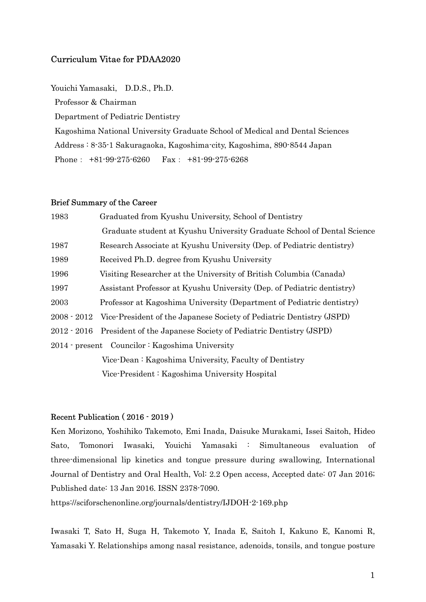## Curriculum Vitae for PDAA2020

Youichi Yamasaki, D.D.S., Ph.D.

Professor & Chairman

Department of Pediatric Dentistry

 Kagoshima National University Graduate School of Medical and Dental Sciences Address : 8-35-1 Sakuragaoka, Kagoshima-city, Kagoshima, 890-8544 Japan Phone: +81-99-275-6260 Fax: +81-99-275-6268

## Brief Summary of the Career

| 1983                                            | Graduated from Kyushu University, School of Dentistry                            |
|-------------------------------------------------|----------------------------------------------------------------------------------|
|                                                 | Graduate student at Kyushu University Graduate School of Dental Science          |
| 1987                                            | Research Associate at Kyushu University (Dep. of Pediatric dentistry)            |
| 1989                                            | Received Ph.D. degree from Kyushu University                                     |
| 1996                                            | Visiting Researcher at the University of British Columbia (Canada)               |
| 1997                                            | Assistant Professor at Kyushu University (Dep. of Pediatric dentistry)           |
| 2003                                            | Professor at Kagoshima University (Department of Pediatric dentistry)            |
|                                                 | 2008 · 2012 Vice-President of the Japanese Society of Pediatric Dentistry (JSPD) |
|                                                 | 2012 · 2016 President of the Japanese Society of Pediatric Dentistry (JSPD)      |
| 2014 - present Councilor : Kagoshima University |                                                                                  |
|                                                 | Vice-Dean: Kagoshima University, Faculty of Dentistry                            |
|                                                 | Vice-President: Kagoshima University Hospital                                    |

## Recent Publication ( 2016 - 2019 )

Ken Morizono, Yoshihiko Takemoto, Emi Inada, Daisuke Murakami, Issei Saitoh, Hideo Sato, Tomonori Iwasaki, Youichi Yamasaki : Simultaneous evaluation of three-dimensional lip kinetics and tongue pressure during swallowing, International Journal of Dentistry and Oral Health, Vol: 2.2 Open access, Accepted date: 07 Jan 2016; Published date: 13 Jan 2016. ISSN 2378-7090.

https://sciforschenonline.org/journals/dentistry/IJDOH-2-169.php

Iwasaki T, Sato H, Suga H, Takemoto Y, Inada E, Saitoh I, Kakuno E, Kanomi R, Yamasaki Y. Relationships among nasal resistance, adenoids, tonsils, and tongue posture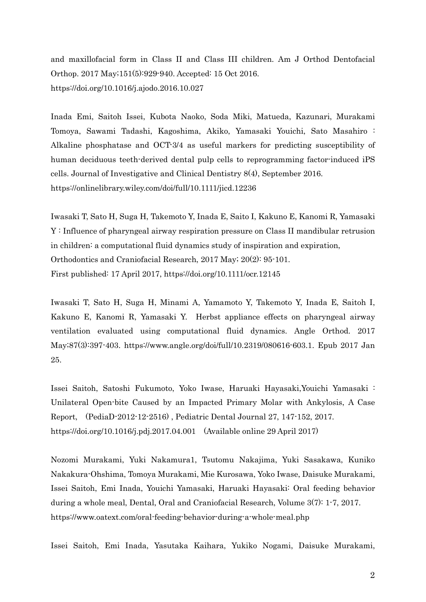and maxillofacial form in Class II and Class III children. Am J Orthod Dentofacial Orthop. 2017 May;151(5):929-940. Accepted: 15 Oct 2016. https://doi.org/10.1016/j.ajodo.2016.10.027

Inada Emi, Saitoh Issei, Kubota Naoko, Soda Miki, Matueda, Kazunari, Murakami Tomoya, Sawami Tadashi, Kagoshima, Akiko, Yamasaki Youichi, Sato Masahiro : Alkaline phosphatase and OCT-3/4 as useful markers for predicting susceptibility of human deciduous teeth-derived dental pulp cells to reprogramming factor-induced iPS cells. Journal of Investigative and Clinical Dentistry 8(4), September 2016. https://onlinelibrary.wiley.com/doi/full/10.1111/jicd.12236

Iwasaki T, Sato H, Suga H, Takemoto Y, Inada E, Saito I, Kakuno E, Kanomi R, Yamasaki Y : Influence of pharyngeal airway respiration pressure on Class II mandibular retrusion in children: a computational fluid dynamics study of inspiration and expiration, Orthodontics and Craniofacial Research, 2017 May; 20(2): 95-101. First published: 17 April 2017, https://doi.org/10.1111/ocr.12145

Iwasaki T, Sato H, Suga H, Minami A, Yamamoto Y, Takemoto Y, Inada E, Saitoh I, Kakuno E, Kanomi R, Yamasaki Y. Herbst appliance effects on pharyngeal airway ventilation evaluated using computational fluid dynamics. Angle Orthod. 2017 May;87(3):397-403. https://www.angle.org/doi/full/10.2319/080616-603.1. Epub 2017 Jan 25.

Issei Saitoh, Satoshi Fukumoto, Yoko Iwase, Haruaki Hayasaki,Youichi Yamasaki : Unilateral Open-bite Caused by an Impacted Primary Molar with Ankylosis, A Case Report, (PediaD-2012-12-2516) , Pediatric Dental Journal 27, 147-152, 2017. https://doi.org/10.1016/j.pdj.2017.04.001 (Available online 29 April 2017)

Nozomi Murakami, Yuki Nakamura1, Tsutomu Nakajima, Yuki Sasakawa, Kuniko Nakakura-Ohshima, Tomoya Murakami, Mie Kurosawa, Yoko Iwase, Daisuke Murakami, Issei Saitoh, Emi Inada, Youichi Yamasaki, Haruaki Hayasaki: Oral feeding behavior during a whole meal, Dental, Oral and Craniofacial Research, Volume 3(7): 1-7, 2017. https://www.oatext.com/oral-feeding-behavior-during-a-whole-meal.php

Issei Saitoh, Emi Inada, Yasutaka Kaihara, Yukiko Nogami, Daisuke Murakami,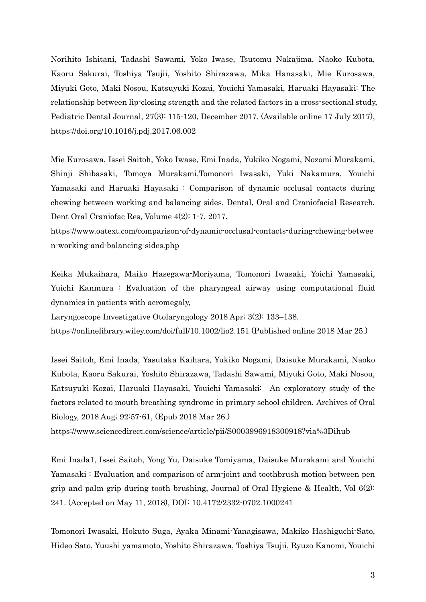Norihito Ishitani, Tadashi Sawami, Yoko Iwase, Tsutomu Nakajima, Naoko Kubota, Kaoru Sakurai, Toshiya Tsujii, Yoshito Shirazawa, Mika Hanasaki, Mie Kurosawa, Miyuki Goto, Maki Nosou, Katsuyuki Kozai, Youichi Yamasaki, Haruaki Hayasaki: The relationship between lip-closing strength and the related factors in a cross-sectional study, Pediatric Dental Journal, 27(3): 115-120, December 2017. (Available online 17 July 2017), https://doi.org/10.1016/j.pdj.2017.06.002

Mie Kurosawa, Issei Saitoh, Yoko Iwase, Emi Inada, Yukiko Nogami, Nozomi Murakami, Shinji Shibasaki, Tomoya Murakami,Tomonori Iwasaki, Yuki Nakamura, Youichi Yamasaki and Haruaki Hayasaki : Comparison of dynamic occlusal contacts during chewing between working and balancing sides, Dental, Oral and Craniofacial Research, Dent Oral Craniofac Res, Volume 4(2): 1-7, 2017.

https://www.oatext.com/comparison-of-dynamic-occlusal-contacts-during-chewing-betwee n-working-and-balancing-sides.php

Keika Mukaihara, Maiko Hasegawa-Moriyama, Tomonori Iwasaki, Yoichi Yamasaki, Yuichi Kanmura : Evaluation of the pharyngeal airway using computational fluid dynamics in patients with acromegaly,

Laryngoscope Investigative Otolaryngology 2018 Apr; 3(2): 133–138.

https://onlinelibrary.wiley.com/doi/full/10.1002/lio2.151 (Published online 2018 Mar 25.)

Issei Saitoh, Emi Inada, Yasutaka Kaihara, Yukiko Nogami, Daisuke Murakami, Naoko Kubota, Kaoru Sakurai, Yoshito Shirazawa, Tadashi Sawami, Miyuki Goto, Maki Nosou, Katsuyuki Kozai, Haruaki Hayasaki, Youichi Yamasaki: An exploratory study of the factors related to mouth breathing syndrome in primary school children, Archives of Oral Biology, 2018 Aug; 92:57-61, (Epub 2018 Mar 26.)

https://www.sciencedirect.com/science/article/pii/S0003996918300918?via%3Dihub

Emi Inada1, Issei Saitoh, Yong Yu, Daisuke Tomiyama, Daisuke Murakami and Youichi Yamasaki : Evaluation and comparison of arm-joint and toothbrush motion between pen grip and palm grip during tooth brushing, Journal of Oral Hygiene & Health, Vol 6(2): 241. (Accepted on May 11, 2018), DOI: 10.4172/2332-0702.1000241

Tomonori Iwasaki, Hokuto Suga, Ayaka Minami-Yanagisawa, Makiko Hashiguchi-Sato, Hideo Sato, Yuushi yamamoto, Yoshito Shirazawa, Toshiya Tsujii, Ryuzo Kanomi, Youichi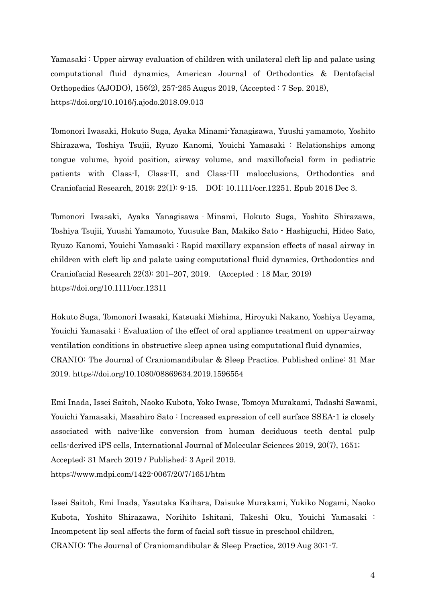Yamasaki : Upper airway evaluation of children with unilateral cleft lip and palate using computational fluid dynamics, American Journal of Orthodontics & Dentofacial Orthopedics (AJODO), 156(2), 257-265 Augus 2019, (Accepted : 7 Sep. 2018), https://doi.org/10.1016/j.ajodo.2018.09.013

Tomonori Iwasaki, Hokuto Suga, Ayaka Minami-Yanagisawa, Yuushi yamamoto, Yoshito Shirazawa, Toshiya Tsujii, Ryuzo Kanomi, Youichi Yamasaki : Relationships among tongue volume, hyoid position, airway volume, and maxillofacial form in pediatric patients with Class-I, Class-II, and Class-III malocclusions, Orthodontics and Craniofacial Research, 2019; 22(1): 9-15. DOI: 10.1111/ocr.12251. Epub 2018 Dec 3.

Tomonori Iwasaki, Ayaka Yanagisawa‐Minami, Hokuto Suga, Yoshito Shirazawa, Toshiya Tsujii, Yuushi Yamamoto, Yuusuke Ban, Makiko Sato‐Hashiguchi, Hideo Sato, Ryuzo Kanomi, Youichi Yamasaki : Rapid maxillary expansion effects of nasal airway in children with cleft lip and palate using computational fluid dynamics, Orthodontics and Craniofacial Research 22(3): 201–207, 2019. (Accepted:18 Mar, 2019) https://doi.org/10.1111/ocr.12311

Hokuto Suga, Tomonori Iwasaki, Katsuaki Mishima, Hiroyuki Nakano, Yoshiya Ueyama, Youichi Yamasaki : Evaluation of the effect of oral appliance treatment on upper-airway ventilation conditions in obstructive sleep apnea using computational fluid dynamics, CRANIO: The Journal of Craniomandibular & Sleep Practice. Published online: 31 Mar 2019. https://doi.org/10.1080/08869634.2019.1596554

Emi Inada, Issei Saitoh, Naoko Kubota, Yoko Iwase, Tomoya Murakami, Tadashi Sawami, Youichi Yamasaki, Masahiro Sato : Increased expression of cell surface SSEA-1 is closely associated with naïve-like conversion from human deciduous teeth dental pulp cells-derived iPS cells, International Journal of Molecular Sciences 2019, 20(7), 1651; Accepted: 31 March 2019 / Published: 3 April 2019. https://www.mdpi.com/1422-0067/20/7/1651/htm

Issei Saitoh, Emi Inada, Yasutaka Kaihara, Daisuke Murakami, Yukiko Nogami, Naoko Kubota, Yoshito Shirazawa, Norihito Ishitani, Takeshi Oku, Youichi Yamasaki : Incompetent lip seal affects the form of facial soft tissue in preschool children, CRANIO: The Journal of Craniomandibular & Sleep Practice, 2019 Aug 30:1-7.